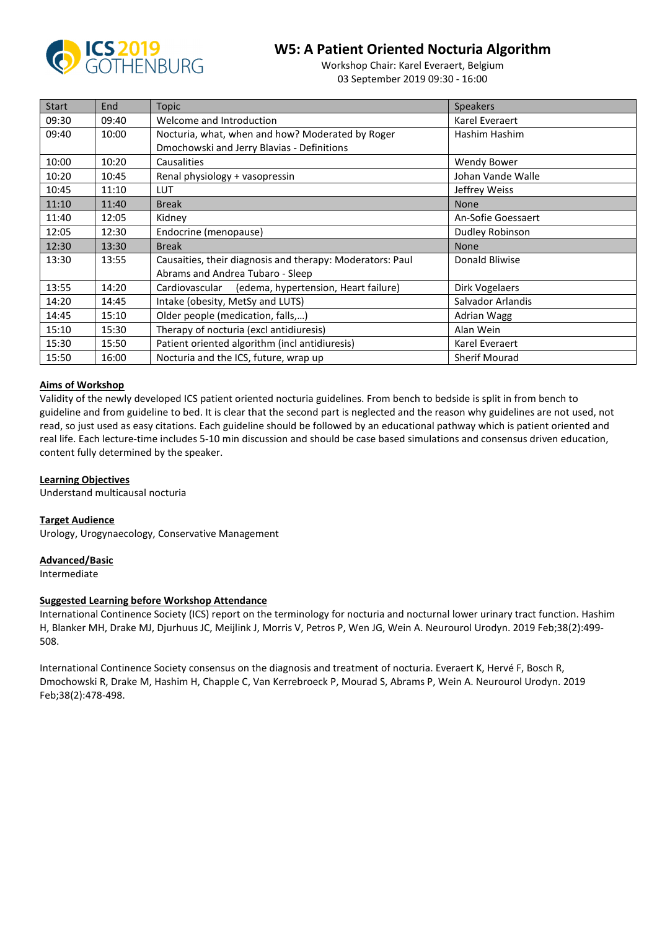

# **W5: A Patient Oriented Nocturia Algorithm**

Workshop Chair: Karel Everaert, Belgium 03 September 2019 09:30 - 16:00

| <b>Start</b> | End   | <b>Topic</b>                                              | <b>Speakers</b>      |
|--------------|-------|-----------------------------------------------------------|----------------------|
| 09:30        | 09:40 | Welcome and Introduction                                  | Karel Everaert       |
| 09:40        | 10:00 | Nocturia, what, when and how? Moderated by Roger          | Hashim Hashim        |
|              |       | Dmochowski and Jerry Blavias - Definitions                |                      |
| 10:00        | 10:20 | Causalities                                               | Wendy Bower          |
| 10:20        | 10:45 | Renal physiology + vasopressin                            | Johan Vande Walle    |
| 10:45        | 11:10 | <b>LUT</b>                                                | Jeffrey Weiss        |
| 11:10        | 11:40 | <b>Break</b>                                              | <b>None</b>          |
| 11:40        | 12:05 | Kidney                                                    | An-Sofie Goessaert   |
| 12:05        | 12:30 | Endocrine (menopause)                                     | Dudley Robinson      |
| 12:30        | 13:30 | <b>Break</b>                                              | <b>None</b>          |
| 13:30        | 13:55 | Causaities, their diagnosis and therapy: Moderators: Paul | Donald Bliwise       |
|              |       | Abrams and Andrea Tubaro - Sleep                          |                      |
| 13:55        | 14:20 | Cardiovascular (edema, hypertension, Heart failure)       | Dirk Vogelaers       |
| 14:20        | 14:45 | Intake (obesity, MetSy and LUTS)                          | Salvador Arlandis    |
| 14:45        | 15:10 | Older people (medication, falls,)                         | <b>Adrian Wagg</b>   |
| 15:10        | 15:30 | Therapy of nocturia (excl antidiuresis)                   | Alan Wein            |
| 15:30        | 15:50 | Patient oriented algorithm (incl antidiuresis)            | Karel Everaert       |
| 15:50        | 16:00 | Nocturia and the ICS, future, wrap up                     | <b>Sherif Mourad</b> |

### **Aims of Workshop**

Validity of the newly developed ICS patient oriented nocturia guidelines. From bench to bedside is split in from bench to guideline and from guideline to bed. It is clear that the second part is neglected and the reason why guidelines are not used, not read, so just used as easy citations. Each guideline should be followed by an educational pathway which is patient oriented and real life. Each lecture-time includes 5-10 min discussion and should be case based simulations and consensus driven education, content fully determined by the speaker.

### **Learning Objectives**

Understand multicausal nocturia

### **Target Audience**

Urology, Urogynaecology, Conservative Management

### **Advanced/Basic**

Intermediate

### **Suggested Learning before Workshop Attendance**

International Continence Society (ICS) report on the terminology for nocturia and nocturnal lower urinary tract function. Hashim H, Blanker MH, Drake MJ, Djurhuus JC, Meijlink J, Morris V, Petros P, Wen JG, Wein A. Neurourol Urodyn. 2019 Feb;38(2):499- 508.

International Continence Society consensus on the diagnosis and treatment of nocturia. Everaert K, Hervé F, Bosch R, Dmochowski R, Drake M, Hashim H, Chapple C, Van Kerrebroeck P, Mourad S, Abrams P, Wein A. Neurourol Urodyn. 2019 Feb;38(2):478-498.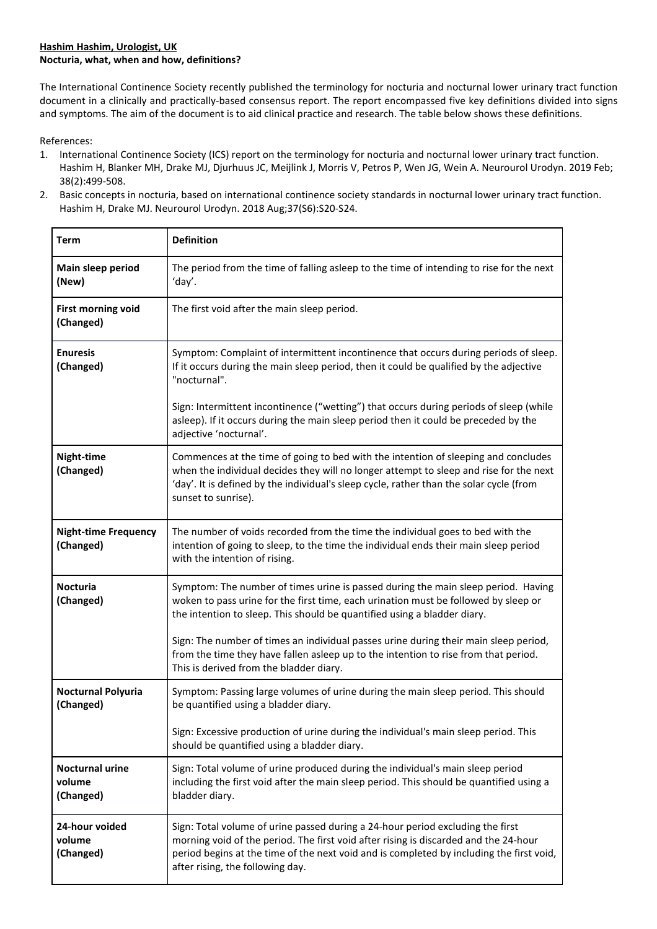# **Hashim Hashim, Urologist, UK Nocturia, what, when and how, definitions?**

The International Continence Society recently published the terminology for nocturia and nocturnal lower urinary tract function document in a clinically and practically-based consensus report. The report encompassed five key definitions divided into signs and symptoms. The aim of the document is to aid clinical practice and research. The table below shows these definitions.

References:

- 1. International Continence Society (ICS) report on the terminology for nocturia and nocturnal lower urinary tract function. Hashim H, Blanker MH, Drake MJ, Djurhuus JC, Meijlink J, Morris V, Petros P, Wen JG, Wein A. Neurourol Urodyn. 2019 Feb; 38(2):499-508.
- 2. Basic concepts in nocturia, based on international continence society standards in nocturnal lower urinary tract function. Hashim H, Drake MJ. Neurourol Urodyn. 2018 Aug;37(S6):S20-S24.

| <b>Term</b>                                   | <b>Definition</b>                                                                                                                                                                                                                                                                                      |  |
|-----------------------------------------------|--------------------------------------------------------------------------------------------------------------------------------------------------------------------------------------------------------------------------------------------------------------------------------------------------------|--|
| Main sleep period<br>(New)                    | The period from the time of falling asleep to the time of intending to rise for the next<br>'day'.                                                                                                                                                                                                     |  |
| <b>First morning void</b><br>(Changed)        | The first void after the main sleep period.                                                                                                                                                                                                                                                            |  |
| <b>Enuresis</b><br>(Changed)                  | Symptom: Complaint of intermittent incontinence that occurs during periods of sleep.<br>If it occurs during the main sleep period, then it could be qualified by the adjective<br>"nocturnal".                                                                                                         |  |
|                                               | Sign: Intermittent incontinence ("wetting") that occurs during periods of sleep (while<br>asleep). If it occurs during the main sleep period then it could be preceded by the<br>adjective 'nocturnal'.                                                                                                |  |
| Night-time<br>(Changed)                       | Commences at the time of going to bed with the intention of sleeping and concludes<br>when the individual decides they will no longer attempt to sleep and rise for the next<br>'day'. It is defined by the individual's sleep cycle, rather than the solar cycle (from<br>sunset to sunrise).         |  |
| <b>Night-time Frequency</b><br>(Changed)      | The number of voids recorded from the time the individual goes to bed with the<br>intention of going to sleep, to the time the individual ends their main sleep period<br>with the intention of rising.                                                                                                |  |
| <b>Nocturia</b><br>(Changed)                  | Symptom: The number of times urine is passed during the main sleep period. Having<br>woken to pass urine for the first time, each urination must be followed by sleep or<br>the intention to sleep. This should be quantified using a bladder diary.                                                   |  |
|                                               | Sign: The number of times an individual passes urine during their main sleep period,<br>from the time they have fallen asleep up to the intention to rise from that period.<br>This is derived from the bladder diary.                                                                                 |  |
| <b>Nocturnal Polyuria</b><br>(Changed)        | Symptom: Passing large volumes of urine during the main sleep period. This should<br>be quantified using a bladder diary.                                                                                                                                                                              |  |
|                                               | Sign: Excessive production of urine during the individual's main sleep period. This<br>should be quantified using a bladder diary.                                                                                                                                                                     |  |
| <b>Nocturnal urine</b><br>volume<br>(Changed) | Sign: Total volume of urine produced during the individual's main sleep period<br>including the first void after the main sleep period. This should be quantified using a<br>bladder diary.                                                                                                            |  |
| 24-hour voided<br>volume<br>(Changed)         | Sign: Total volume of urine passed during a 24-hour period excluding the first<br>morning void of the period. The first void after rising is discarded and the 24-hour<br>period begins at the time of the next void and is completed by including the first void,<br>after rising, the following day. |  |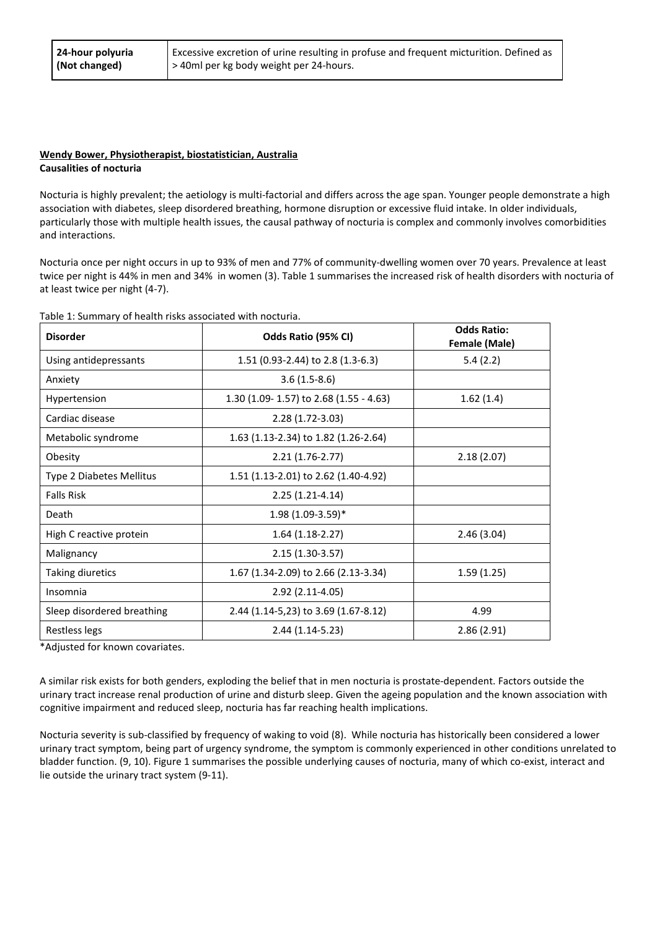### **Wendy Bower, Physiotherapist, biostatistician, Australia Causalities of nocturia**

Nocturia is highly prevalent; the aetiology is multi-factorial and differs across the age span. Younger people demonstrate a high association with diabetes, sleep disordered breathing, hormone disruption or excessive fluid intake. In older individuals, particularly those with multiple health issues, the causal pathway of nocturia is complex and commonly involves comorbidities and interactions.

Nocturia once per night occurs in up to 93% of men and 77% of community-dwelling women over 70 years. Prevalence at least twice per night is 44% in men and 34% in women (3). Table 1 summarises the increased risk of health disorders with nocturia of at least twice per night (4-7).

Table 1: Summary of health risks associated with nocturia.

| <b>Disorder</b>            | Odds Ratio (95% CI)                     | <b>Odds Ratio:</b><br>Female (Male) |
|----------------------------|-----------------------------------------|-------------------------------------|
| Using antidepressants      | 1.51 (0.93-2.44) to 2.8 (1.3-6.3)       | 5.4(2.2)                            |
| Anxiety                    | $3.6(1.5-8.6)$                          |                                     |
| Hypertension               | 1.30 (1.09- 1.57) to 2.68 (1.55 - 4.63) | 1.62(1.4)                           |
| Cardiac disease            | $2.28(1.72-3.03)$                       |                                     |
| Metabolic syndrome         | 1.63 (1.13-2.34) to 1.82 (1.26-2.64)    |                                     |
| Obesity                    | $2.21(1.76-2.77)$                       | 2.18(2.07)                          |
| Type 2 Diabetes Mellitus   | 1.51 (1.13-2.01) to 2.62 (1.40-4.92)    |                                     |
| <b>Falls Risk</b>          | $2.25(1.21-4.14)$                       |                                     |
| Death                      | $1.98(1.09-3.59)$ *                     |                                     |
| High C reactive protein    | $1.64(1.18-2.27)$                       | 2.46(3.04)                          |
| Malignancy                 | $2.15(1.30-3.57)$                       |                                     |
| <b>Taking diuretics</b>    | 1.67 (1.34-2.09) to 2.66 (2.13-3.34)    | 1.59(1.25)                          |
| Insomnia                   | 2.92 (2.11-4.05)                        |                                     |
| Sleep disordered breathing | 2.44 (1.14-5,23) to 3.69 (1.67-8.12)    | 4.99                                |
| Restless legs              | 2.44 (1.14-5.23)                        | 2.86(2.91)                          |

\*Adjusted for known covariates.

A similar risk exists for both genders, exploding the belief that in men nocturia is prostate-dependent. Factors outside the urinary tract increase renal production of urine and disturb sleep. Given the ageing population and the known association with cognitive impairment and reduced sleep, nocturia has far reaching health implications.

Nocturia severity is sub-classified by frequency of waking to void (8). While nocturia has historically been considered a lower urinary tract symptom, being part of urgency syndrome, the symptom is commonly experienced in other conditions unrelated to bladder function. (9, 10). Figure 1 summarises the possible underlying causes of nocturia, many of which co-exist, interact and lie outside the urinary tract system (9-11).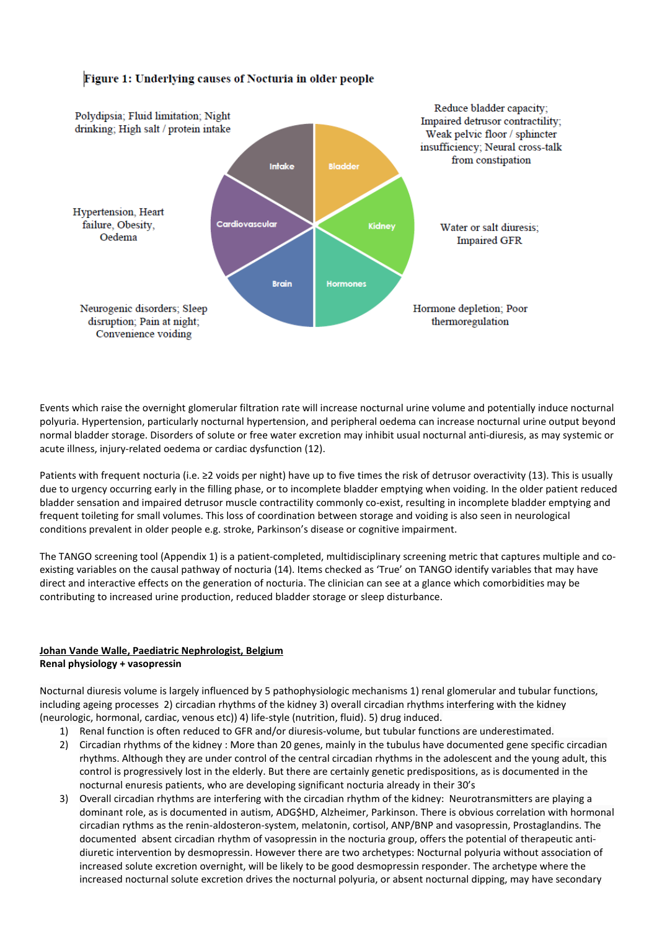# Figure 1: Underlying causes of Nocturia in older people



Events which raise the overnight glomerular filtration rate will increase nocturnal urine volume and potentially induce nocturnal polyuria. Hypertension, particularly nocturnal hypertension, and peripheral oedema can increase nocturnal urine output beyond normal bladder storage. Disorders of solute or free water excretion may inhibit usual nocturnal anti-diuresis, as may systemic or acute illness, injury-related oedema or cardiac dysfunction (12).

Patients with frequent nocturia (i.e. ≥2 voids per night) have up to five times the risk of detrusor overactivity (13). This is usually due to urgency occurring early in the filling phase, or to incomplete bladder emptying when voiding. In the older patient reduced bladder sensation and impaired detrusor muscle contractility commonly co-exist, resulting in incomplete bladder emptying and frequent toileting for small volumes. This loss of coordination between storage and voiding is also seen in neurological conditions prevalent in older people e.g. stroke, Parkinson's disease or cognitive impairment.

The TANGO screening tool (Appendix 1) is a patient-completed, multidisciplinary screening metric that captures multiple and coexisting variables on the causal pathway of nocturia (14). Items checked as 'True' on TANGO identify variables that may have direct and interactive effects on the generation of nocturia. The clinician can see at a glance which comorbidities may be contributing to increased urine production, reduced bladder storage or sleep disturbance.

# **Johan Vande Walle, Paediatric Nephrologist, Belgium Renal physiology + vasopressin**

Nocturnal diuresis volume is largely influenced by 5 pathophysiologic mechanisms 1) renal glomerular and tubular functions, including ageing processes 2) circadian rhythms of the kidney 3) overall circadian rhythms interfering with the kidney (neurologic, hormonal, cardiac, venous etc)) 4) life-style (nutrition, fluid). 5) drug induced.

- 1) Renal function is often reduced to GFR and/or diuresis-volume, but tubular functions are underestimated.
- 2) Circadian rhythms of the kidney : More than 20 genes, mainly in the tubulus have documented gene specific circadian rhythms. Although they are under control of the central circadian rhythms in the adolescent and the young adult, this control is progressively lost in the elderly. But there are certainly genetic predispositions, as is documented in the nocturnal enuresis patients, who are developing significant nocturia already in their 30's
- 3) Overall circadian rhythms are interfering with the circadian rhythm of the kidney: Neurotransmitters are playing a dominant role, as is documented in autism, ADG\$HD, Alzheimer, Parkinson. There is obvious correlation with hormonal circadian rythms as the renin-aldosteron-system, melatonin, cortisol, ANP/BNP and vasopressin, Prostaglandins. The documented absent circadian rhythm of vasopressin in the nocturia group, offers the potential of therapeutic antidiuretic intervention by desmopressin. However there are two archetypes: Nocturnal polyuria without association of increased solute excretion overnight, will be likely to be good desmopressin responder. The archetype where the increased nocturnal solute excretion drives the nocturnal polyuria, or absent nocturnal dipping, may have secondary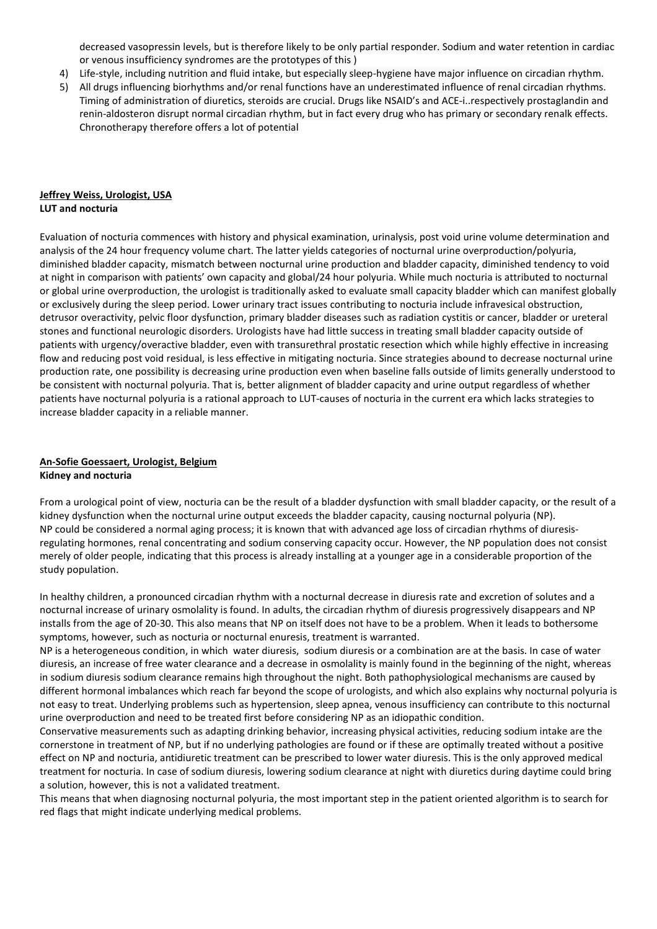decreased vasopressin levels, but is therefore likely to be only partial responder. Sodium and water retention in cardiac or venous insufficiency syndromes are the prototypes of this )

- 4) Life-style, including nutrition and fluid intake, but especially sleep-hygiene have major influence on circadian rhythm.
- 5) All drugs influencing biorhythms and/or renal functions have an underestimated influence of renal circadian rhythms. Timing of administration of diuretics, steroids are crucial. Drugs like NSAID's and ACE-i..respectively prostaglandin and renin-aldosteron disrupt normal circadian rhythm, but in fact every drug who has primary or secondary renalk effects. Chronotherapy therefore offers a lot of potential

#### **Jeffrey Weiss, Urologist, USA LUT and nocturia**

Evaluation of nocturia commences with history and physical examination, urinalysis, post void urine volume determination and analysis of the 24 hour frequency volume chart. The latter yields categories of nocturnal urine overproduction/polyuria, diminished bladder capacity, mismatch between nocturnal urine production and bladder capacity, diminished tendency to void at night in comparison with patients' own capacity and global/24 hour polyuria. While much nocturia is attributed to nocturnal or global urine overproduction, the urologist is traditionally asked to evaluate small capacity bladder which can manifest globally or exclusively during the sleep period. Lower urinary tract issues contributing to nocturia include infravesical obstruction, detrusor overactivity, pelvic floor dysfunction, primary bladder diseases such as radiation cystitis or cancer, bladder or ureteral stones and functional neurologic disorders. Urologists have had little success in treating small bladder capacity outside of patients with urgency/overactive bladder, even with transurethral prostatic resection which while highly effective in increasing flow and reducing post void residual, is less effective in mitigating nocturia. Since strategies abound to decrease nocturnal urine production rate, one possibility is decreasing urine production even when baseline falls outside of limits generally understood to be consistent with nocturnal polyuria. That is, better alignment of bladder capacity and urine output regardless of whether patients have nocturnal polyuria is a rational approach to LUT-causes of nocturia in the current era which lacks strategies to increase bladder capacity in a reliable manner.

### **An-Sofie Goessaert, Urologist, Belgium Kidney and nocturia**

From a urological point of view, nocturia can be the result of a bladder dysfunction with small bladder capacity, or the result of a kidney dysfunction when the nocturnal urine output exceeds the bladder capacity, causing nocturnal polyuria (NP). NP could be considered a normal aging process; it is known that with advanced age loss of circadian rhythms of diuresisregulating hormones, renal concentrating and sodium conserving capacity occur. However, the NP population does not consist merely of older people, indicating that this process is already installing at a younger age in a considerable proportion of the study population.

In healthy children, a pronounced circadian rhythm with a nocturnal decrease in diuresis rate and excretion of solutes and a nocturnal increase of urinary osmolality is found. In adults, the circadian rhythm of diuresis progressively disappears and NP installs from the age of 20-30. This also means that NP on itself does not have to be a problem. When it leads to bothersome symptoms, however, such as nocturia or nocturnal enuresis, treatment is warranted.

NP is a heterogeneous condition, in which water diuresis, sodium diuresis or a combination are at the basis. In case of water diuresis, an increase of free water clearance and a decrease in osmolality is mainly found in the beginning of the night, whereas in sodium diuresis sodium clearance remains high throughout the night. Both pathophysiological mechanisms are caused by different hormonal imbalances which reach far beyond the scope of urologists, and which also explains why nocturnal polyuria is not easy to treat. Underlying problems such as hypertension, sleep apnea, venous insufficiency can contribute to this nocturnal urine overproduction and need to be treated first before considering NP as an idiopathic condition.

Conservative measurements such as adapting drinking behavior, increasing physical activities, reducing sodium intake are the cornerstone in treatment of NP, but if no underlying pathologies are found or if these are optimally treated without a positive effect on NP and nocturia, antidiuretic treatment can be prescribed to lower water diuresis. This is the only approved medical treatment for nocturia. In case of sodium diuresis, lowering sodium clearance at night with diuretics during daytime could bring a solution, however, this is not a validated treatment.

This means that when diagnosing nocturnal polyuria, the most important step in the patient oriented algorithm is to search for red flags that might indicate underlying medical problems.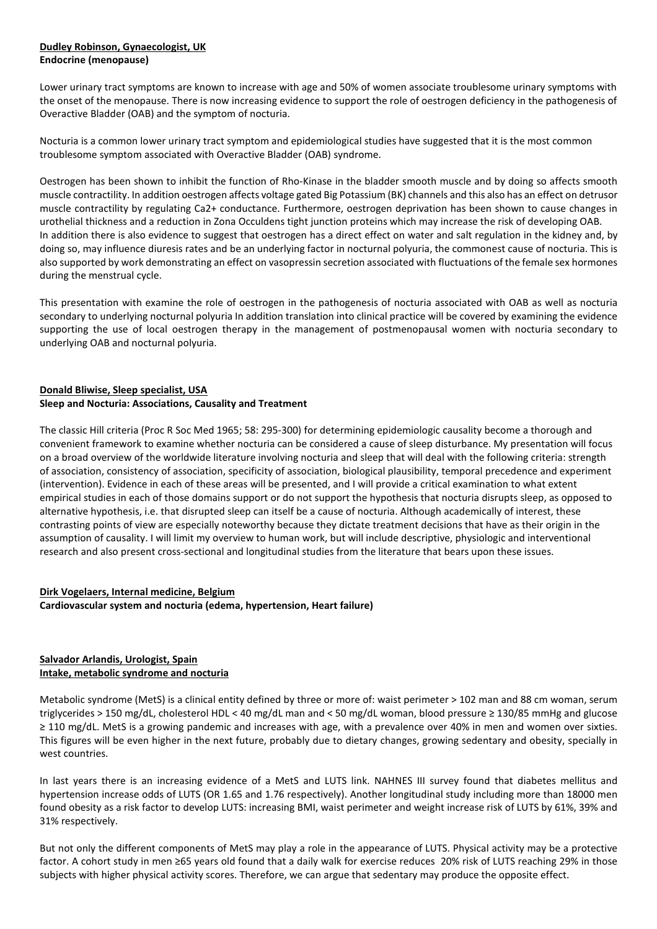## **Dudley Robinson, Gynaecologist, UK Endocrine (menopause)**

Lower urinary tract symptoms are known to increase with age and 50% of women associate troublesome urinary symptoms with the onset of the menopause. There is now increasing evidence to support the role of oestrogen deficiency in the pathogenesis of Overactive Bladder (OAB) and the symptom of nocturia.

Nocturia is a common lower urinary tract symptom and epidemiological studies have suggested that it is the most common troublesome symptom associated with Overactive Bladder (OAB) syndrome.

Oestrogen has been shown to inhibit the function of Rho-Kinase in the bladder smooth muscle and by doing so affects smooth muscle contractility. In addition oestrogen affects voltage gated Big Potassium (BK) channels and this also has an effect on detrusor muscle contractility by regulating Ca2+ conductance. Furthermore, oestrogen deprivation has been shown to cause changes in urothelial thickness and a reduction in Zona Occuldens tight junction proteins which may increase the risk of developing OAB. In addition there is also evidence to suggest that oestrogen has a direct effect on water and salt regulation in the kidney and, by doing so, may influence diuresis rates and be an underlying factor in nocturnal polyuria, the commonest cause of nocturia. This is also supported by work demonstrating an effect on vasopressin secretion associated with fluctuations of the female sex hormones during the menstrual cycle.

This presentation with examine the role of oestrogen in the pathogenesis of nocturia associated with OAB as well as nocturia secondary to underlying nocturnal polyuria In addition translation into clinical practice will be covered by examining the evidence supporting the use of local oestrogen therapy in the management of postmenopausal women with nocturia secondary to underlying OAB and nocturnal polyuria.

# **Donald Bliwise, Sleep specialist, USA Sleep and Nocturia: Associations, Causality and Treatment**

The classic Hill criteria (Proc R Soc Med 1965; 58: 295-300) for determining epidemiologic causality become a thorough and convenient framework to examine whether nocturia can be considered a cause of sleep disturbance. My presentation will focus on a broad overview of the worldwide literature involving nocturia and sleep that will deal with the following criteria: strength of association, consistency of association, specificity of association, biological plausibility, temporal precedence and experiment (intervention). Evidence in each of these areas will be presented, and I will provide a critical examination to what extent empirical studies in each of those domains support or do not support the hypothesis that nocturia disrupts sleep, as opposed to alternative hypothesis, i.e. that disrupted sleep can itself be a cause of nocturia. Although academically of interest, these contrasting points of view are especially noteworthy because they dictate treatment decisions that have as their origin in the assumption of causality. I will limit my overview to human work, but will include descriptive, physiologic and interventional research and also present cross-sectional and longitudinal studies from the literature that bears upon these issues.

# **Dirk Vogelaers, Internal medicine, Belgium Cardiovascular system and nocturia (edema, hypertension, Heart failure)**

# **Salvador Arlandis, Urologist, Spain Intake, metabolic syndrome and nocturia**

Metabolic syndrome (MetS) is a clinical entity defined by three or more of: waist perimeter > 102 man and 88 cm woman, serum triglycerides > 150 mg/dL, cholesterol HDL < 40 mg/dL man and < 50 mg/dL woman, blood pressure ≥ 130/85 mmHg and glucose ≥ 110 mg/dL. MetS is a growing pandemic and increases with age, with a prevalence over 40% in men and women over sixties. This figures will be even higher in the next future, probably due to dietary changes, growing sedentary and obesity, specially in west countries.

In last years there is an increasing evidence of a MetS and LUTS link. NAHNES III survey found that diabetes mellitus and hypertension increase odds of LUTS (OR 1.65 and 1.76 respectively). Another longitudinal study including more than 18000 men found obesity as a risk factor to develop LUTS: increasing BMI, waist perimeter and weight increase risk of LUTS by 61%, 39% and 31% respectively.

But not only the different components of MetS may play a role in the appearance of LUTS. Physical activity may be a protective factor. A cohort study in men ≥65 years old found that a daily walk for exercise reduces 20% risk of LUTS reaching 29% in those subjects with higher physical activity scores. Therefore, we can argue that sedentary may produce the opposite effect.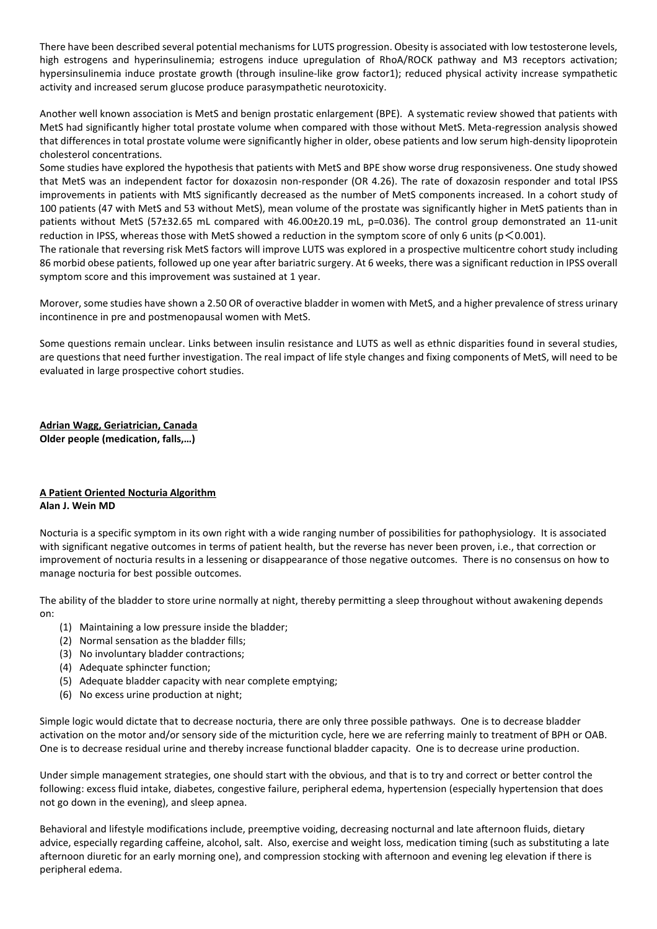There have been described several potential mechanisms for LUTS progression. Obesity is associated with low testosterone levels, high estrogens and hyperinsulinemia; estrogens induce upregulation of RhoA/ROCK pathway and M3 receptors activation; hypersinsulinemia induce prostate growth (through insuline-like grow factor1); reduced physical activity increase sympathetic activity and increased serum glucose produce parasympathetic neurotoxicity.

Another well known association is MetS and benign prostatic enlargement (BPE). A systematic review showed that patients with MetS had significantly higher total prostate volume when compared with those without MetS. Meta-regression analysis showed that differences in total prostate volume were significantly higher in older, obese patients and low serum high-density lipoprotein cholesterol concentrations.

Some studies have explored the hypothesis that patients with MetS and BPE show worse drug responsiveness. One study showed that MetS was an independent factor for doxazosin non-responder (OR 4.26). The rate of doxazosin responder and total IPSS improvements in patients with MtS significantly decreased as the number of MetS components increased. In a cohort study of 100 patients (47 with MetS and 53 without MetS), mean volume of the prostate was significantly higher in MetS patients than in patients without MetS (57±32.65 mL compared with 46.00±20.19 mL, p=0.036). The control group demonstrated an 11-unit reduction in IPSS, whereas those with MetS showed a reduction in the symptom score of only 6 units ( $p \le 0.001$ ).

The rationale that reversing risk MetS factors will improve LUTS was explored in a prospective multicentre cohort study including 86 morbid obese patients, followed up one year after bariatric surgery. At 6 weeks, there was a significant reduction in IPSS overall symptom score and this improvement was sustained at 1 year.

Morover, some studies have shown a 2.50 OR of overactive bladder in women with MetS, and a higher prevalence of stress urinary incontinence in pre and postmenopausal women with MetS.

Some questions remain unclear. Links between insulin resistance and LUTS as well as ethnic disparities found in several studies, are questions that need further investigation. The real impact of life style changes and fixing components of MetS, will need to be evaluated in large prospective cohort studies.

**Adrian Wagg, Geriatrician, Canada Older people (medication, falls,…)** 

# **A Patient Oriented Nocturia Algorithm Alan J. Wein MD**

Nocturia is a specific symptom in its own right with a wide ranging number of possibilities for pathophysiology. It is associated with significant negative outcomes in terms of patient health, but the reverse has never been proven, i.e., that correction or improvement of nocturia results in a lessening or disappearance of those negative outcomes. There is no consensus on how to manage nocturia for best possible outcomes.

The ability of the bladder to store urine normally at night, thereby permitting a sleep throughout without awakening depends on:

- (1) Maintaining a low pressure inside the bladder;
- (2) Normal sensation as the bladder fills;
- (3) No involuntary bladder contractions;
- (4) Adequate sphincter function;
- (5) Adequate bladder capacity with near complete emptying;
- (6) No excess urine production at night;

Simple logic would dictate that to decrease nocturia, there are only three possible pathways. One is to decrease bladder activation on the motor and/or sensory side of the micturition cycle, here we are referring mainly to treatment of BPH or OAB. One is to decrease residual urine and thereby increase functional bladder capacity. One is to decrease urine production.

Under simple management strategies, one should start with the obvious, and that is to try and correct or better control the following: excess fluid intake, diabetes, congestive failure, peripheral edema, hypertension (especially hypertension that does not go down in the evening), and sleep apnea.

Behavioral and lifestyle modifications include, preemptive voiding, decreasing nocturnal and late afternoon fluids, dietary advice, especially regarding caffeine, alcohol, salt. Also, exercise and weight loss, medication timing (such as substituting a late afternoon diuretic for an early morning one), and compression stocking with afternoon and evening leg elevation if there is peripheral edema.